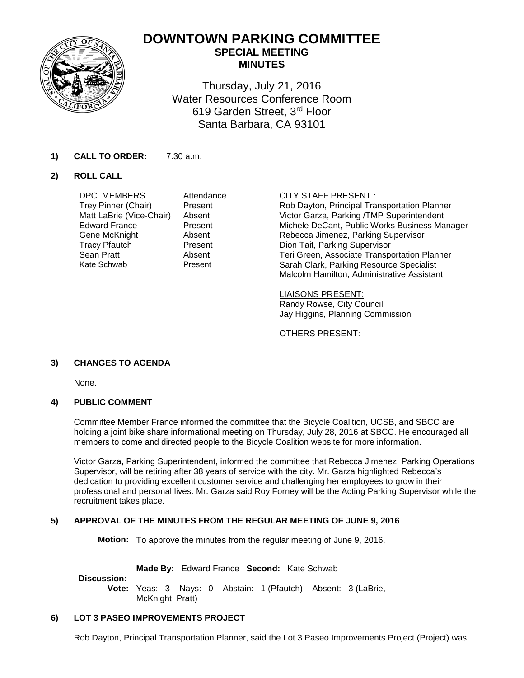

# **DOWNTOWN PARKING COMMITTEE SPECIAL MEETING MINUTES**

Thursday, July 21, 2016 Water Resources Conference Room 619 Garden Street, 3rd Floor Santa Barbara, CA 93101

## **1) CALL TO ORDER:** 7:30 a.m.

## **2) ROLL CALL**

#### DPC MEMBERS Attendance CITY STAFF PRESENT :

Trey Pinner (Chair) Present Rob Dayton, Principal Transportation Planner Matt LaBrie (Vice-Chair) Absent Victor Garza, Parking /TMP Superintendent Edward France **Present** Present Michele DeCant, Public Works Business Manager<br>
Gene McKnight Absent Rebecca Jimenez, Parking Supervisor Gene McKnight Absent Absent Rebecca Jimenez, Parking Supervisor<br>
Tracy Pfautch Present Dion Tait, Parking Supervisor Present Dion Tait, Parking Supervisor Sean Pratt **Absent** Absent Teri Green, Associate Transportation Planner<br>
Kate Schwab Present Sarah Clark, Parking Resource Specialist Sarah Clark, Parking Resource Specialist Malcolm Hamilton, Administrative Assistant

> LIAISONS PRESENT: Randy Rowse, City Council Jay Higgins, Planning Commission

OTHERS PRESENT:

## **3) CHANGES TO AGENDA**

None.

## **4) PUBLIC COMMENT**

Committee Member France informed the committee that the Bicycle Coalition, UCSB, and SBCC are holding a joint bike share informational meeting on Thursday, July 28, 2016 at SBCC. He encouraged all members to come and directed people to the Bicycle Coalition website for more information.

Victor Garza, Parking Superintendent, informed the committee that Rebecca Jimenez, Parking Operations Supervisor, will be retiring after 38 years of service with the city. Mr. Garza highlighted Rebecca's dedication to providing excellent customer service and challenging her employees to grow in their professional and personal lives. Mr. Garza said Roy Forney will be the Acting Parking Supervisor while the recruitment takes place.

## **5) APPROVAL OF THE MINUTES FROM THE REGULAR MEETING OF JUNE 9, 2016**

**Motion:** To approve the minutes from the regular meeting of June 9, 2016.

**Made By:** Edward France **Second:** Kate Schwab

**Discussion:**

**Vote:** Yeas: 3 Nays: 0 Abstain: 1 (Pfautch) Absent: 3 (LaBrie, McKnight, Pratt)

## **6) LOT 3 PASEO IMPROVEMENTS PROJECT**

Rob Dayton, Principal Transportation Planner, said the Lot 3 Paseo Improvements Project (Project) was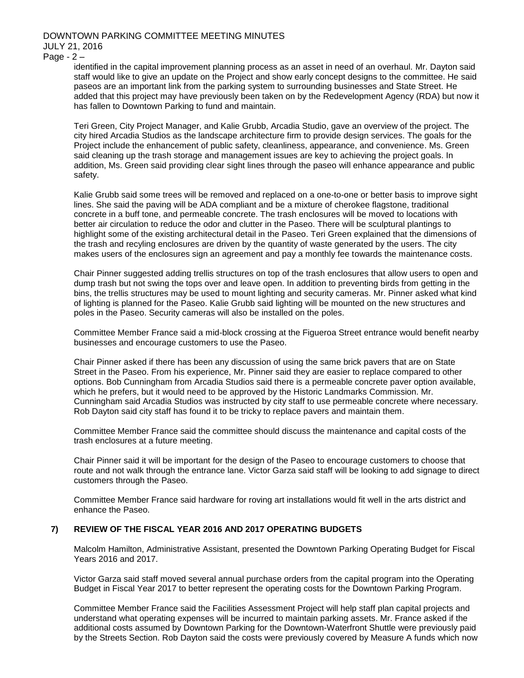#### DOWNTOWN PARKING COMMITTEE MEETING MINUTES JULY 21, 2016 Page - 2 –

identified in the capital improvement planning process as an asset in need of an overhaul. Mr. Dayton said staff would like to give an update on the Project and show early concept designs to the committee. He said paseos are an important link from the parking system to surrounding businesses and State Street. He added that this project may have previously been taken on by the Redevelopment Agency (RDA) but now it has fallen to Downtown Parking to fund and maintain.

Teri Green, City Project Manager, and Kalie Grubb, Arcadia Studio, gave an overview of the project. The city hired Arcadia Studios as the landscape architecture firm to provide design services. The goals for the Project include the enhancement of public safety, cleanliness, appearance, and convenience. Ms. Green said cleaning up the trash storage and management issues are key to achieving the project goals. In addition, Ms. Green said providing clear sight lines through the paseo will enhance appearance and public safety.

Kalie Grubb said some trees will be removed and replaced on a one-to-one or better basis to improve sight lines. She said the paving will be ADA compliant and be a mixture of cherokee flagstone, traditional concrete in a buff tone, and permeable concrete. The trash enclosures will be moved to locations with better air circulation to reduce the odor and clutter in the Paseo. There will be sculptural plantings to highlight some of the existing architectural detail in the Paseo. Teri Green explained that the dimensions of the trash and recyling enclosures are driven by the quantity of waste generated by the users. The city makes users of the enclosures sign an agreement and pay a monthly fee towards the maintenance costs.

Chair Pinner suggested adding trellis structures on top of the trash enclosures that allow users to open and dump trash but not swing the tops over and leave open. In addition to preventing birds from getting in the bins, the trellis structures may be used to mount lighting and security cameras. Mr. Pinner asked what kind of lighting is planned for the Paseo. Kalie Grubb said lighting will be mounted on the new structures and poles in the Paseo. Security cameras will also be installed on the poles.

Committee Member France said a mid-block crossing at the Figueroa Street entrance would benefit nearby businesses and encourage customers to use the Paseo.

Chair Pinner asked if there has been any discussion of using the same brick pavers that are on State Street in the Paseo. From his experience, Mr. Pinner said they are easier to replace compared to other options. Bob Cunningham from Arcadia Studios said there is a permeable concrete paver option available, which he prefers, but it would need to be approved by the Historic Landmarks Commission. Mr. Cunningham said Arcadia Studios was instructed by city staff to use permeable concrete where necessary. Rob Dayton said city staff has found it to be tricky to replace pavers and maintain them.

Committee Member France said the committee should discuss the maintenance and capital costs of the trash enclosures at a future meeting.

Chair Pinner said it will be important for the design of the Paseo to encourage customers to choose that route and not walk through the entrance lane. Victor Garza said staff will be looking to add signage to direct customers through the Paseo.

Committee Member France said hardware for roving art installations would fit well in the arts district and enhance the Paseo.

#### **7) REVIEW OF THE FISCAL YEAR 2016 AND 2017 OPERATING BUDGETS**

Malcolm Hamilton, Administrative Assistant, presented the Downtown Parking Operating Budget for Fiscal Years 2016 and 2017.

Victor Garza said staff moved several annual purchase orders from the capital program into the Operating Budget in Fiscal Year 2017 to better represent the operating costs for the Downtown Parking Program.

Committee Member France said the Facilities Assessment Project will help staff plan capital projects and understand what operating expenses will be incurred to maintain parking assets. Mr. France asked if the additional costs assumed by Downtown Parking for the Downtown-Waterfront Shuttle were previously paid by the Streets Section. Rob Dayton said the costs were previously covered by Measure A funds which now